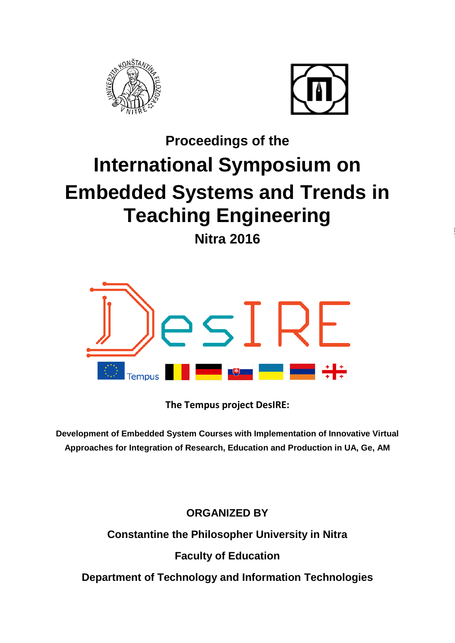



# **Proceedings of the International Symposium on Embedded Systems and Trends in Teaching Engineering Nitra 2016**



**The Tempus project DesIRE:**

**Development of Embedded System Courses with Implementation of Innovative Virtual Approaches for Integration of Research, Education and Production in UA, Ge, AM**

**ORGANIZED BY**

**Constantine the Philosopher University in Nitra** 

**Faculty of Education**

**Department of Technology and Information Technologies**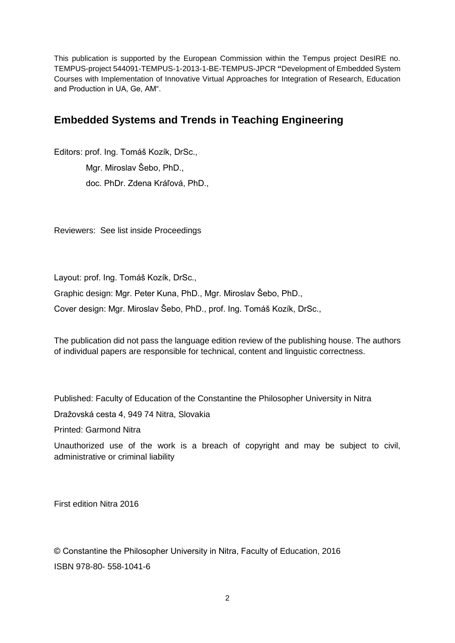This publication is supported by the European Commission within the Tempus project DesIRE no. TEMPUS-project 544091-TEMPUS-1-2013-1-BE-TEMPUS-JPCR **"**Development of Embedded System Courses with Implementation of Innovative Virtual Approaches for Integration of Research, Education and Production in UA, Ge, AM".

# **Embedded Systems and Trends in Teaching Engineering**

Editors: prof. Ing. Tomáš Kozík, DrSc., Mgr. Miroslav Šebo, PhD., doc. PhDr. Zdena Kráľová, PhD.,

Reviewers: See list inside Proceedings

Layout: prof. Ing. Tomáš Kozík, DrSc.,

Graphic design: Mgr. Peter Kuna, PhD., Mgr. Miroslav Šebo, PhD.,

Cover design: Mgr. Miroslav Šebo, PhD., prof. Ing. Tomáš Kozík, DrSc.,

The publication did not pass the language edition review of the publishing house. The authors of individual papers are responsible for technical, content and linguistic correctness.

Published: Faculty of Education of the Constantine the Philosopher University in Nitra

Dražovská cesta 4, 949 74 Nitra, Slovakia

Printed: Garmond Nitra

Unauthorized use of the work is a breach of copyright and may be subject to civil, administrative or criminal liability

First edition Nitra 2016

© Constantine the Philosopher University in Nitra, Faculty of Education, 2016 ISBN 978-80- 558-1041-6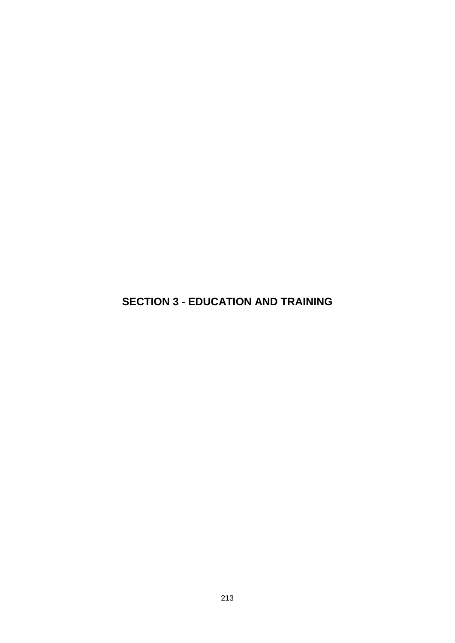**SECTION 3 - EDUCATION AND TRAINING**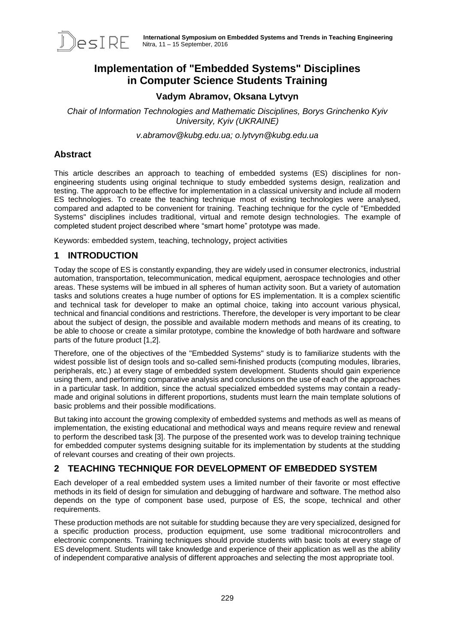

# **Implementation of "Embedded Systems" Disciplines in Computer Science Students Training**

## **Vadym Abramov, Oksana Lytvyn**

*Chair of Information Technologies and Mathematic Disciplines, Borys Grinchenko Kyiv University, Kyiv (UKRAINE)* 

*v.abramov@kubg.edu.ua; o.lytvyn@kubg.edu.ua*

## **Abstract**

This article describes an approach to teaching of embedded systems (ES) disciplines for nonengineering students using original technique to study embedded systems design, realization and testing. The approach to be effective for implementation in a classical university and include all modern ES technologies. To create the teaching technique most of existing technologies were analysed, compared and adapted to be convenient for training. Teaching technique for the cycle of "Embedded Systems" disciplines includes traditional, virtual and remote design technologies. The example of completed student project described where "smart home" prototype was made.

Keywords: embedded system, teaching, technology, project activities

## **1 INTRODUCTION**

Today the scope of ES is constantly expanding, they are widely used in consumer electronics, industrial automation, transportation, telecommunication, medical equipment, aerospace technologies and other areas. These systems will be imbued in all spheres of human activity soon. But a variety of automation tasks and solutions creates a huge number of options for ES implementation. It is a complex scientific and technical task for developer to make an optimal choice, taking into account various physical, technical and financial conditions and restrictions. Therefore, the developer is very important to be clear about the subject of design, the possible and available modern methods and means of its creating, to be able to choose or create a similar prototype, combine the knowledge of both hardware and software parts of the future product [1,2].

Therefore, one of the objectives of the "Embedded Systems" study is to familiarize students with the widest possible list of design tools and so-called semi-finished products (computing modules, libraries, peripherals, etc.) at every stage of embedded system development. Students should gain experience using them, and performing comparative analysis and conclusions on the use of each of the approaches in a particular task. In addition, since the actual specialized embedded systems may contain a readymade and original solutions in different proportions, students must learn the main template solutions of basic problems and their possible modifications.

But taking into account the growing complexity of embedded systems and methods as well as means of implementation, the existing educational and methodical ways and means require review and renewal to perform the described task [3]. The purpose of the presented work was to develop training technique for embedded computer systems designing suitable for its implementation by students at the studding of relevant courses and creating of their own projects.

## **2 TEACHING TECHNIQUE FOR DEVELOPMENT OF EMBEDDED SYSTEM**

Each developer of a real embedded system uses a limited number of their favorite or most effective methods in its field of design for simulation and debugging of hardware and software. The method also depends on the type of component base used, purpose of ES, the scope, technical and other requirements.

These production methods are not suitable for studding because they are very specialized, designed for a specific production process, production equipment, use some traditional microcontrollers and electronic components. Training techniques should provide students with basic tools at every stage of ES development. Students will take knowledge and experience of their application as well as the ability of independent comparative analysis of different approaches and selecting the most appropriate tool.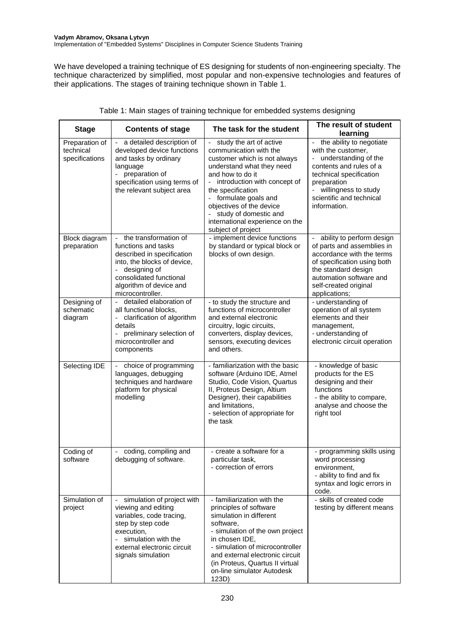We have developed a training technique of ES designing for students of non-engineering specialty. The technique characterized by simplified, most popular and non-expensive technologies and features of their applications. The stages of training technique shown in Table 1.

| <b>Stage</b>                                  | <b>Contents of stage</b>                                                                                                                                                                                                 | The task for the student                                                                                                                                                                                                                                                                                                                                   | The result of student<br>learning                                                                                                                                                                               |
|-----------------------------------------------|--------------------------------------------------------------------------------------------------------------------------------------------------------------------------------------------------------------------------|------------------------------------------------------------------------------------------------------------------------------------------------------------------------------------------------------------------------------------------------------------------------------------------------------------------------------------------------------------|-----------------------------------------------------------------------------------------------------------------------------------------------------------------------------------------------------------------|
| Preparation of<br>technical<br>specifications | a detailed description of<br>developed device functions<br>and tasks by ordinary<br>language<br>preparation of<br>specification using terms of<br>the relevant subject area                                              | study the art of active<br>communication with the<br>customer which is not always<br>understand what they need<br>and how to do it<br>introduction with concept of<br>$\overline{\phantom{0}}$<br>the specification<br>- formulate goals and<br>objectives of the device<br>study of domestic and<br>international experience on the<br>subject of project | the ability to negotiate<br>with the customer,<br>understanding of the<br>contents and rules of a<br>technical specification<br>preparation<br>willingness to study<br>scientific and technical<br>information. |
| Block diagram<br>preparation                  | the transformation of<br>functions and tasks<br>described in specification<br>into, the blocks of device,<br>designing of<br>consolidated functional<br>algorithm of device and<br>microcontroller.                      | - implement device functions<br>by standard or typical block or<br>blocks of own design.                                                                                                                                                                                                                                                                   | ability to perform design<br>of parts and assemblies in<br>accordance with the terms<br>of specification using both<br>the standard design<br>automation software and<br>self-created original<br>applications; |
| Designing of<br>schematic<br>diagram          | detailed elaboration of<br>$\mathcal{L}^{\pm}$<br>all functional blocks,<br>clarification of algorithm<br>details<br>preliminary selection of<br>$\overline{a}$<br>microcontroller and<br>components                     | - to study the structure and<br>functions of microcontroller<br>and external electronic<br>circuitry, logic circuits,<br>converters, display devices,<br>sensors, executing devices<br>and others.                                                                                                                                                         | - understanding of<br>operation of all system<br>elements and their<br>management,<br>- understanding of<br>electronic circuit operation                                                                        |
| Selecting IDE                                 | choice of programming<br>languages, debugging<br>techniques and hardware<br>platform for physical<br>modelling                                                                                                           | - familiarization with the basic<br>software (Arduino IDE, Atmel<br>Studio, Code Vision, Quartus<br>II, Proteus Design, Altium<br>Designer), their capabilities<br>and limitations,<br>- selection of appropriate for<br>the task                                                                                                                          | - knowledge of basic<br>products for the ES<br>designing and their<br>functions<br>- the ability to compare,<br>analyse and choose the<br>right tool                                                            |
| Coding of<br>software                         | coding, compiling and<br>debugging of software.                                                                                                                                                                          | - create a software for a<br>particular task,<br>- correction of errors                                                                                                                                                                                                                                                                                    | - programming skills using<br>word processing<br>environment,<br>- ability to find and fix<br>syntax and logic errors in<br>code.                                                                               |
| Simulation of<br>project                      | simulation of project with<br>viewing and editing<br>variables, code tracing,<br>step by step code<br>execution,<br>simulation with the<br>$\overline{\phantom{a}}$<br>external electronic circuit<br>signals simulation | - familiarization with the<br>principles of software<br>simulation in different<br>software,<br>- simulation of the own project<br>in chosen IDE,<br>- simulation of microcontroller<br>and external electronic circuit<br>(in Proteus, Quartus II virtual<br>on-line simulator Autodesk<br>123D)                                                          | - skills of created code<br>testing by different means                                                                                                                                                          |

#### Table 1: Main stages of training technique for embedded systems designing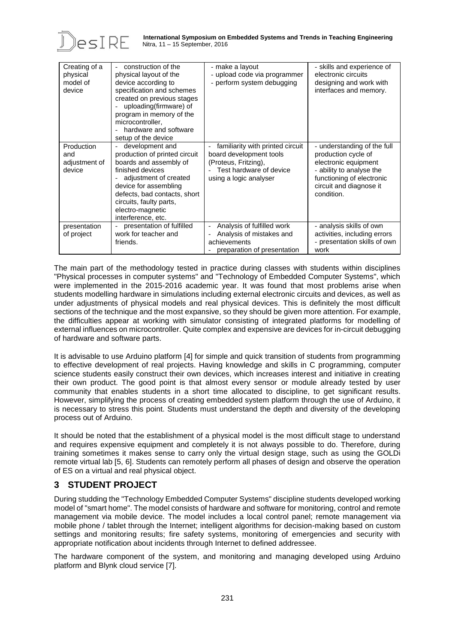

| Creating of a<br>physical<br>model of<br>device | construction of the<br>physical layout of the<br>device according to<br>specification and schemes<br>created on previous stages<br>uploading(firmware) of<br>program in memory of the<br>microcontroller.<br>hardware and software<br>setup of the device | - make a layout<br>- upload code via programmer<br>- perform system debugging                                                            | - skills and experience of<br>electronic circuits<br>designing and work with<br>interfaces and memory.                                                                       |
|-------------------------------------------------|-----------------------------------------------------------------------------------------------------------------------------------------------------------------------------------------------------------------------------------------------------------|------------------------------------------------------------------------------------------------------------------------------------------|------------------------------------------------------------------------------------------------------------------------------------------------------------------------------|
| Production<br>and<br>adjustment of<br>device    | development and<br>production of printed circuit<br>boards and assembly of<br>finished devices<br>adjustment of created<br>device for assembling<br>defects, bad contacts, short<br>circuits, faulty parts,<br>electro-magnetic<br>interference, etc.     | familiarity with printed circuit<br>board development tools<br>(Proteus, Fritzing),<br>Test hardware of device<br>using a logic analyser | - understanding of the full<br>production cycle of<br>electronic equipment<br>- ability to analyse the<br>functioning of electronic<br>circuit and diagnose it<br>condition. |
| presentation<br>of project                      | presentation of fulfilled<br>work for teacher and<br>friends.                                                                                                                                                                                             | Analysis of fulfilled work<br>Analysis of mistakes and<br>achievements<br>preparation of presentation                                    | - analysis skills of own<br>activities, including errors<br>- presentation skills of own<br>work                                                                             |

The main part of the methodology tested in practice during classes with students within disciplines "Physical processes in computer systems" and "Technology of Embedded Computer Systems", which were implemented in the 2015-2016 academic year. It was found that most problems arise when students modelling hardware in simulations including external electronic circuits and devices, as well as under adjustments of physical models and real physical devices. This is definitely the most difficult sections of the technique and the most expansive, so they should be given more attention. For example, the difficulties appear at working with simulator consisting of integrated platforms for modelling of external influences on microcontroller. Quite complex and expensive are devices for in-circuit debugging of hardware and software parts.

It is advisable to use Arduino platform [4] for simple and quick transition of students from programming to effective development of real projects. Having knowledge and skills in C programming, computer science students easily construct their own devices, which increases interest and initiative in creating their own product. The good point is that almost every sensor or module already tested by user community that enables students in a short time allocated to discipline, to get significant results. However, simplifying the process of creating embedded system platform through the use of Arduino, it is necessary to stress this point. Students must understand the depth and diversity of the developing process out of Arduino.

It should be noted that the establishment of a physical model is the most difficult stage to understand and requires expensive equipment and completely it is not always possible to do. Therefore, during training sometimes it makes sense to carry only the virtual design stage, such as using the GOLDi remote virtual lab [5, 6]. Students can remotely perform all phases of design and observe the operation of ES on a virtual and real physical object.

## **3 STUDENT PROJECT**

During studding the "Technology Embedded Computer Systems" discipline students developed working model of "smart home". The model consists of hardware and software for monitoring, control and remote management via mobile device. The model includes a local control panel; remote management via mobile phone / tablet through the Internet; intelligent algorithms for decision-making based on custom settings and monitoring results; fire safety systems, monitoring of emergencies and security with appropriate notification about incidents through Internet to defined addressee.

The hardware component of the system, and monitoring and managing developed using Arduino platform and Blynk cloud service [7].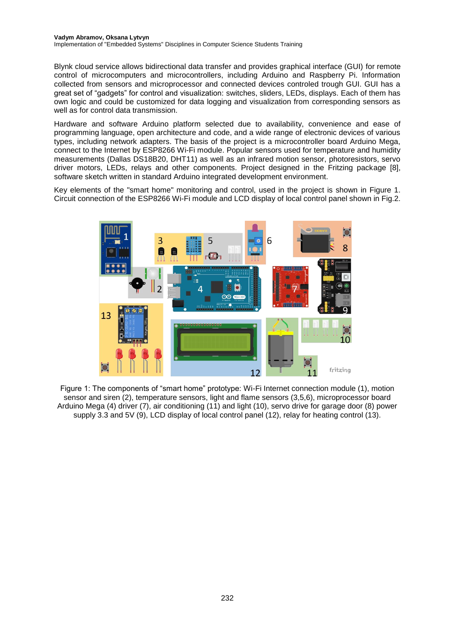Blynk cloud service allows bidirectional data transfer and provides graphical interface (GUI) for remote control of microcomputers and microcontrollers, including Arduino and Raspberry Pi. Information collected from sensors and microprocessor and connected devices controled trough GUI. GUI has a great set of "gadgets" for control and visualization: switches, sliders, LEDs, displays. Each of them has own logic and could be customized for data logging and visualization from corresponding sensors as well as for control data transmission.

Hardware and software Arduino platform selected due to availability, convenience and ease of programming language, open architecture and code, and a wide range of electronic devices of various types, including network adapters. The basis of the project is a microcontroller board Arduino Mega, connect to the Internet by ESP8266 Wi-Fi module. Popular sensors used for temperature and humidity measurements (Dallas DS18B20, DHT11) as well as an infrared motion sensor, photoresistors, servo driver motors, LEDs, relays and other components. Project designed in the Fritzing package [8], software sketch written in standard Arduino integrated development environment.

Key elements of the "smart home" monitoring and control, used in the project is shown in Figure 1. Circuit connection of the ESP8266 Wi-Fi module and LCD display of local control panel shown in Fig.2.



Figure 1: The components of "smart home" prototype: Wi-Fi Internet connection module (1), motion sensor and siren (2), temperature sensors, light and flame sensors (3,5,6), microprocessor board Arduino Mega (4) driver (7), air conditioning (11) and light (10), servo drive for garage door (8) power supply 3.3 and 5V (9), LCD display of local control panel (12), relay for heating control (13).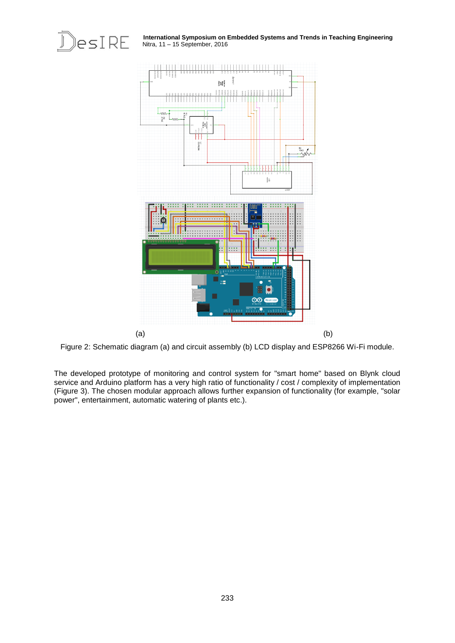

**International Symposium on Embedded Systems and Trends in Teaching Engineering**



Figure 2: Schematic diagram (a) and circuit assembly (b) LCD display and ESP8266 Wi-Fi module.

The developed prototype of monitoring and control system for "smart home" based on Blynk cloud service and Arduino platform has a very high ratio of functionality / cost / complexity of implementation (Figure 3). The chosen modular approach allows further expansion of functionality (for example, "solar power", entertainment, automatic watering of plants etc.).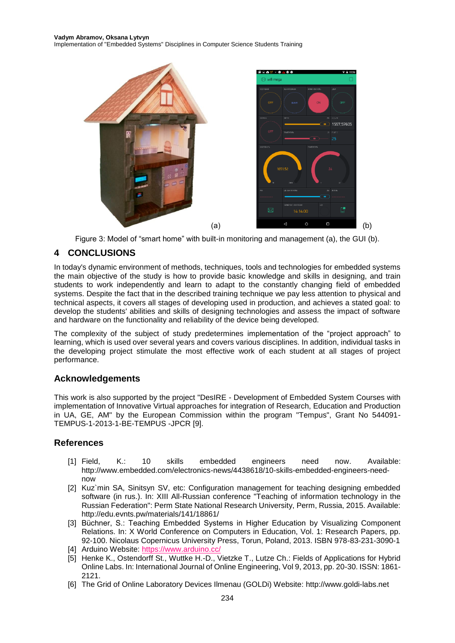Implementation of "Embedded Systems" Disciplines in Computer Science Students Training



Figure 3: Model of "smart home" with built-in monitoring and management (a), the GUI (b).

## **4 CONCLUSIONS**

In today's dynamic environment of methods, techniques, tools and technologies for embedded systems the main objective of the study is how to provide basic knowledge and skills in designing, and train students to work independently and learn to adapt to the constantly changing field of embedded systems. Despite the fact that in the described training technique we pay less attention to physical and technical aspects, it covers all stages of developing used in production, and achieves a stated goal: to develop the students' abilities and skills of designing technologies and assess the impact of software and hardware on the functionality and reliability of the device being developed.

The complexity of the subject of study predetermines implementation of the "project approach" to learning, which is used over several years and covers various disciplines. In addition, individual tasks in the developing project stimulate the most effective work of each student at all stages of project performance.

#### **Acknowledgements**

This work is also supported by the project "DesIRE - Development of Embedded System Courses with implementation of Innovative Virtual approaches for integration of Research, Education and Production in UA, GE, AM" by the European Commission within the program "Tempus", Grant No 544091- TEMPUS-1-2013-1-BE-TEMPUS -JPCR [9].

#### **References**

- [1] Field, K.: 10 skills embedded engineers need now. Available: http://www.embedded.com/electronics-news/4438618/10-skills-embedded-engineers-neednow
- [2] Kuz`min SA, Sinitsyn SV, etc: Configuration management for teaching designing embedded software (in rus.). In: XIII All-Russian conference "Teaching of information technology in the Russian Federation": Perm State National Research University, Perm, Russia, 2015. Available: http://edu.evnts.pw/materials/141/18861/
- [3] Büchner, S.: Teaching Embedded Systems in Higher Education by Visualizing Component Relations. In: X World Conference on Computers in Education, Vol. 1: Research Papers, pp. 92-100. Nicolaus Copernicus University Press, Torun, Poland, 2013. ISBN 978-83-231-3090-1
- [4] Arduino Website:<https://www.arduino.cc/>
- [5] Henke K., Ostendorff St., Wuttke H.-D., Vietzke T., Lutze Ch.: Fields of Applications for Hybrid Online Labs. In: International Journal of Online Engineering, Vol 9, 2013, pp. 20-30. ISSN: 1861- 2121.
- [6] The Grid of Online Laboratory Devices Ilmenau (GOLDi) Website: http://www.goldi-labs.net